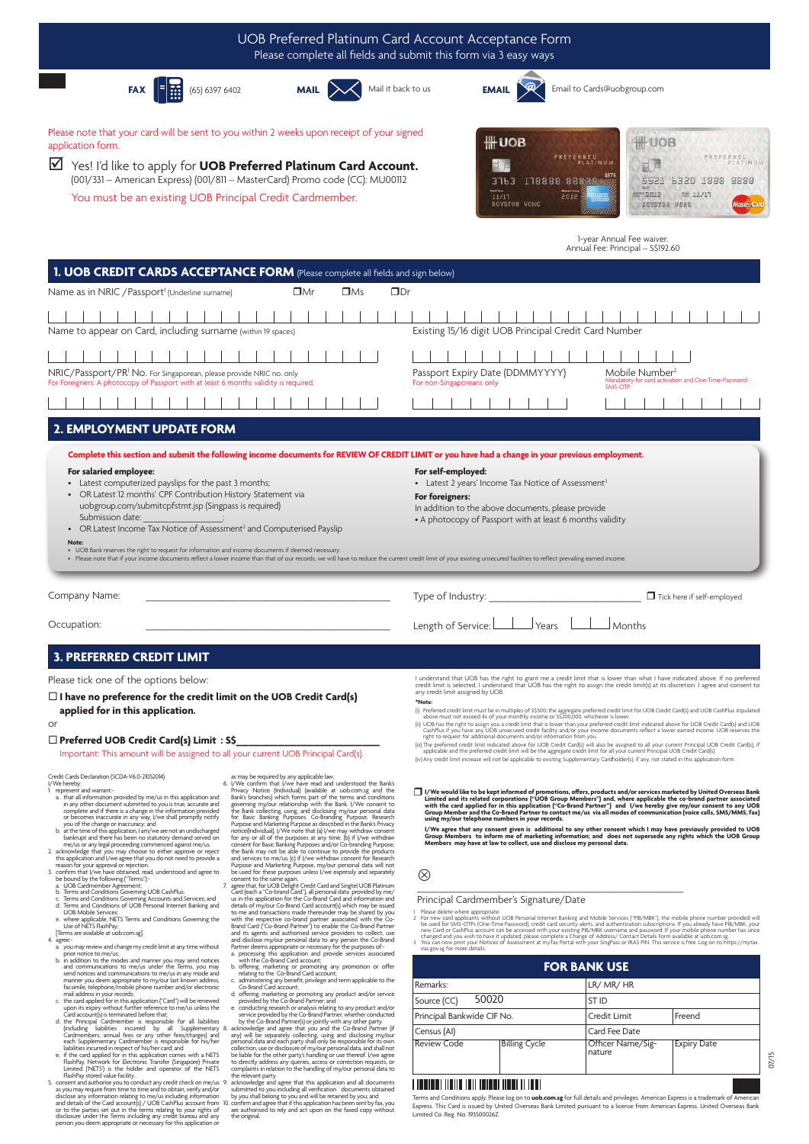



Please note that your card will be sent to you within 2 weeks upon receipt of your signed application form.

Yes! I'd like to apply for **UOB Preferred Platinum Card Account.** (001/331 – American Express) (001/811 – MasterCard) Promo code (CC): MU00112 You must be an existing UOB Principal Credit Cardmember.



1-year Annual Fee waiver. Annual Fee: Principal – S\$192.60

| <b>1. UOB CREDIT CARDS ACCEPTANCE FORM</b> (Please complete all fields and sign below)                                                                                                                                                                                                                                                 |                                                                                                                                                                                                                                                                                                                                                                                                                                                                                                                                                                    |  |
|----------------------------------------------------------------------------------------------------------------------------------------------------------------------------------------------------------------------------------------------------------------------------------------------------------------------------------------|--------------------------------------------------------------------------------------------------------------------------------------------------------------------------------------------------------------------------------------------------------------------------------------------------------------------------------------------------------------------------------------------------------------------------------------------------------------------------------------------------------------------------------------------------------------------|--|
| $\Box$ Ms<br>Name as in NRIC / Passport <sup>1</sup> (Underline surname)<br>$\Box$ Mr                                                                                                                                                                                                                                                  | $\Box$ Dr                                                                                                                                                                                                                                                                                                                                                                                                                                                                                                                                                          |  |
|                                                                                                                                                                                                                                                                                                                                        |                                                                                                                                                                                                                                                                                                                                                                                                                                                                                                                                                                    |  |
| Name to appear on Card, including surname (within 19 spaces)                                                                                                                                                                                                                                                                           | Existing 15/16 digit UOB Principal Credit Card Number                                                                                                                                                                                                                                                                                                                                                                                                                                                                                                              |  |
|                                                                                                                                                                                                                                                                                                                                        |                                                                                                                                                                                                                                                                                                                                                                                                                                                                                                                                                                    |  |
| NRIC/Passport/PR <sup>1</sup> No. For Singaporean, please provide NRIC no. only<br>For Foreigners: A photocopy of Passport with at least 6 months validity is required.                                                                                                                                                                | Passport Expiry Date (DDMMYYYY)<br>Mobile Number <sup>2</sup><br>Mandatory for card activation and One-Time-Password-<br>For non-Singaporeans only<br><b>SMS-OTP</b>                                                                                                                                                                                                                                                                                                                                                                                               |  |
|                                                                                                                                                                                                                                                                                                                                        |                                                                                                                                                                                                                                                                                                                                                                                                                                                                                                                                                                    |  |
| 2. EMPLOYMENT UPDATE FORM                                                                                                                                                                                                                                                                                                              |                                                                                                                                                                                                                                                                                                                                                                                                                                                                                                                                                                    |  |
| Complete this section and submit the following income documents for REVIEW OF CREDIT LIMIT or you have had a change in your previous employment.                                                                                                                                                                                       |                                                                                                                                                                                                                                                                                                                                                                                                                                                                                                                                                                    |  |
| For salaried employee:<br>• Latest computerized payslips for the past 3 months;                                                                                                                                                                                                                                                        | For self-employed:<br>• Latest 2 years' Income Tax Notice of Assessment <sup>3</sup>                                                                                                                                                                                                                                                                                                                                                                                                                                                                               |  |
| • OR Latest 12 months' CPF Contribution History Statement via                                                                                                                                                                                                                                                                          | For foreigners:                                                                                                                                                                                                                                                                                                                                                                                                                                                                                                                                                    |  |
| uobgroup.com/submitcpfstmt.jsp (Singpass is required)<br>Submission date:                                                                                                                                                                                                                                                              | In addition to the above documents, please provide                                                                                                                                                                                                                                                                                                                                                                                                                                                                                                                 |  |
| • OR Latest Income Tax Notice of Assessment <sup>3</sup> and Computerised Payslip                                                                                                                                                                                                                                                      | • A photocopy of Passport with at least 6 months validity                                                                                                                                                                                                                                                                                                                                                                                                                                                                                                          |  |
| Note:<br>• UOB Bank reserves the right to request for information and income documents if deemed necessary.<br>. Please note that if your income documents reflect a lower income than that of our records, we will have to reduce the current credit limit of your existing unsecured facilities to reflect prevailing earned income. |                                                                                                                                                                                                                                                                                                                                                                                                                                                                                                                                                                    |  |
| Company Name:                                                                                                                                                                                                                                                                                                                          | Type of Industry:<br>Tick here if self-employed                                                                                                                                                                                                                                                                                                                                                                                                                                                                                                                    |  |
| Occupation:                                                                                                                                                                                                                                                                                                                            | Length of Service:       Years<br>Months                                                                                                                                                                                                                                                                                                                                                                                                                                                                                                                           |  |
| <b>3. PREFERRED CREDIT LIMIT</b>                                                                                                                                                                                                                                                                                                       |                                                                                                                                                                                                                                                                                                                                                                                                                                                                                                                                                                    |  |
| Please tick one of the options below:                                                                                                                                                                                                                                                                                                  | I understand that UOB has the right to grant me a credit limit that is lower than what I have indicated above. If no preferred<br>credit limit is selected, I understand that UOB has the right to assign the credit limit(s) at its discretion. I agree and consent to<br>any credit limit assigned by UOB.<br>*Note:<br>(i) Preferred credit limit must be in multiples of S\$500; the aggregate preferred credit limit for UOB Credit Card(s) and UOB CashPlus stipulated<br>above must not exceed 4x of your monthly income or S\$200,000, whichever is lower. |  |
| $\Box$ I have no preference for the credit limit on the UOB Credit Card(s)<br>applied for in this application.                                                                                                                                                                                                                         |                                                                                                                                                                                                                                                                                                                                                                                                                                                                                                                                                                    |  |

or

## **Preferred UOB Credit Card(s) Limit : S\$\_\_\_\_\_\_\_\_\_\_\_\_\_\_\_\_\_\_\_\_\_\_\_\_**

Important: This amount will be assigned to all your current UOB Principal Card(s).

- Credit Cards Declaration (SCDA-V6.0-21052014)<br>
VWe hereby.<br>
The present and warranti-<br>
near and an any other decounter tustomic terms of the and all information provided by me/us in this application and<br>
inay other decoun
- 
- 
- 
- 
- 
- 
- 
- 
- 
- 
- 
- 
- 
- 

pion notice to me<sub>c</sub>lus;<br>and diffuse to meclose and manner you may send notices<br>and communications to meclos indet the Ferms, you may<br>send notices and notices and communications to meclos in any mode and<br>manner you deem a

as may be required by any applicable law;<br>  $\sim$  6. (*N*We confirm that *U*/we have read and understood the Bank's Pivacy. Nottice (Individual) (available at uob.com.g and the Bank Bank's branches) which forms part of the

7. agree that, for UOB Delight Credit Card and Singtel UOB Platinum Card (each a "Co-brand Card"), all personal data provided by me/<br>clarels in this application for the Co-brand Card and information and<br>details of my/our Brand Card ("Co-Brand Partner") to enable the Co-Brand Partner<br>and its agents and authorised service providers to collect, use<br>Partner deems appropriate or necessary for the propose of-<br>Partner deems appropriate or necessa

- 
- 
- 

e. conducting research or analysis relating to any product and/or service provided by the Co-Brand Partner, whether conducted B. advanued by the Co-Brand Partner of the analy will be separately collecting, using and disclo

- (i) Preferred creatit limit must be in multiples of 55500, the aggregate preferred creatit limit in the rotation of a phassim product and the method of a phassim product and the state of the state in the state of the crea
- 
- 
- $\hfill \textit{I / We would like to be kept informed of promoters, offers, products and/or services marked by United Overseas Bank.}\newline \textit{Limited and its related corporations ('UOB Group Member's") and, where applicable the co-braned partner is associated with the card applied for in this application ('Co-Brand Partner'") and I/we hereby give my/our consent to any UOB Group Member and the Co-Brand Parter to you can be done under a more common.} \newline \textit{Using my/our telephone number in your records.}\newline$

I/We agree that any consent given is additional to any other consent which I may have previously provided to UOB<br>Group Members to inform me of marketing information; and does not supersede any rights which the UOB Group

\_\_\_\_\_\_\_\_\_\_\_\_\_\_\_\_\_\_\_\_\_\_\_\_\_\_\_\_\_\_\_\_\_\_\_\_\_\_\_\_\_\_\_\_\_\_\_\_\_

- 
- Principal Cardmember's Signature/Date<br>
2 For new card applicant without UOB Personal Internet Banking and Mobile Services ("PIB/MBK"), the mobile phone number provided will<br>
2 For new card applicants without UOB Personal I
- 

| <b>FOR BANK USE</b>        |                      |                             |                    |  |
|----------------------------|----------------------|-----------------------------|--------------------|--|
| Remarks:                   |                      | LR/ MR/ HR                  |                    |  |
| 50020<br>Source (CC)       |                      | ST ID                       |                    |  |
| Principal Bankwide CIF No. |                      | Credit Limit                | Freend             |  |
| Census (AI)                |                      | Card Fee Date               |                    |  |
| <b>Review Code</b>         | <b>Billing Cycle</b> | Officer Name/Sig-<br>nature | <b>Expiry Date</b> |  |
|                            |                      |                             |                    |  |

Terms and Conditions apply. Please log on to **uob.com.sg** for full details and privileges. American Express is a trademark of American<br>Express. This Card is issued by United Overseas Bank Limited pursuant to a license from

07/15